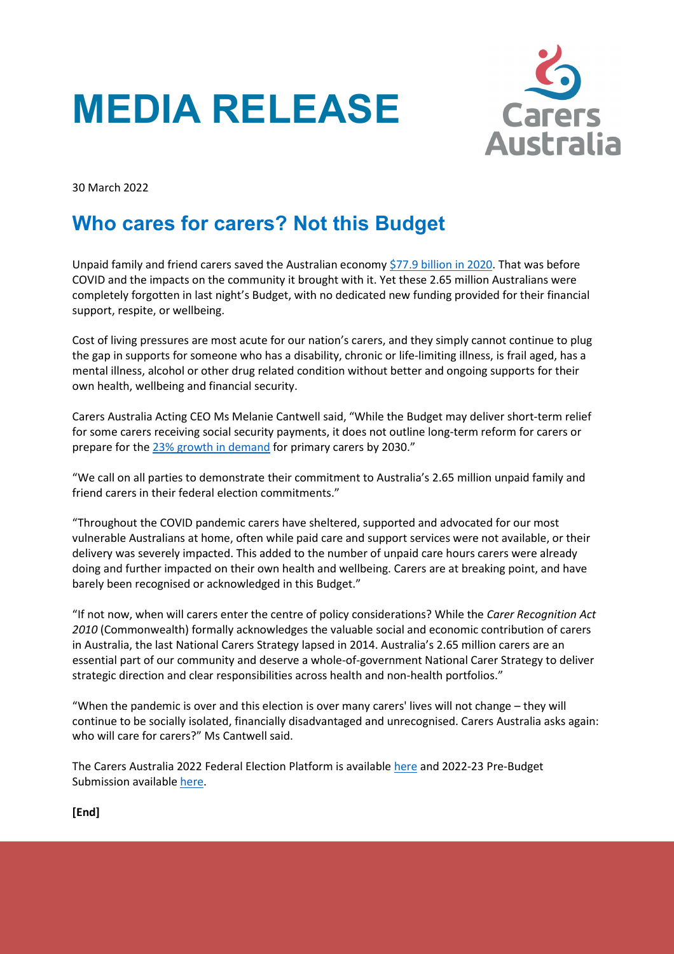



30 March 2022

## **Who cares for carers? Not this Budget**

Unpaid family and friend carers saved the Australian economy [\\$77.9 billion in 2020.](https://www.carersaustralia.com.au/wp-content/uploads/2020/07/FINAL-Value-of-Informal-Care-22-May-2020_No-CIC.pdf) That was before COVID and the impacts on the community it brought with it. Yet these 2.65 million Australians were completely forgotten in last night's Budget, with no dedicated new funding provided for their financial support, respite, or wellbeing.

Cost of living pressures are most acute for our nation's carers, and they simply cannot continue to plug the gap in supports for someone who has a disability, chronic or life-limiting illness, is frail aged, has a mental illness, alcohol or other drug related condition without better and ongoing supports for their own health, wellbeing and financial security.

Carers Australia Acting CEO Ms Melanie Cantwell said, "While the Budget may deliver short-term relief for some carers receiving social security payments, it does not outline long-term reform for carers or prepare for the [23% growth in demand](https://www.carersaustralia.com.au/wp-content/uploads/2020/07/FINAL-Value-of-Informal-Care-22-May-2020_No-CIC.pdf) for primary carers by 2030."

"We call on all parties to demonstrate their commitment to Australia's 2.65 million unpaid family and friend carers in their federal election commitments."

"Throughout the COVID pandemic carers have sheltered, supported and advocated for our most vulnerable Australians at home, often while paid care and support services were not available, or their delivery was severely impacted. This added to the number of unpaid care hours carers were already doing and further impacted on their own health and wellbeing. Carers are at breaking point, and have barely been recognised or acknowledged in this Budget."

"If not now, when will carers enter the centre of policy considerations? While the *Carer Recognition Act 2010* (Commonwealth) formally acknowledges the valuable social and economic contribution of carers in Australia, the last National Carers Strategy lapsed in 2014. Australia's 2.65 million carers are an essential part of our community and deserve a whole-of-government National Carer Strategy to deliver strategic direction and clear responsibilities across health and non-health portfolios."

"When the pandemic is over and this election is over many carers' lives will not change – they will continue to be socially isolated, financially disadvantaged and unrecognised. Carers Australia asks again: who will care for carers?" Ms Cantwell said.

The Carers Australia 2022 Federal Election Platform is available [here](https://www.carersaustralia.com.au/wp-content/uploads/2022/01/FINAL_CarersAustralia-Election-Statement_27-January-2022.pdf) and 2022-23 Pre-Budget Submission available [here.](https://www.carersaustralia.com.au/wp-content/uploads/2022/01/FINAL_Carers-Australia-Pre-Budget-submission-22-23_27-January-2022.pdf)

**[End]**